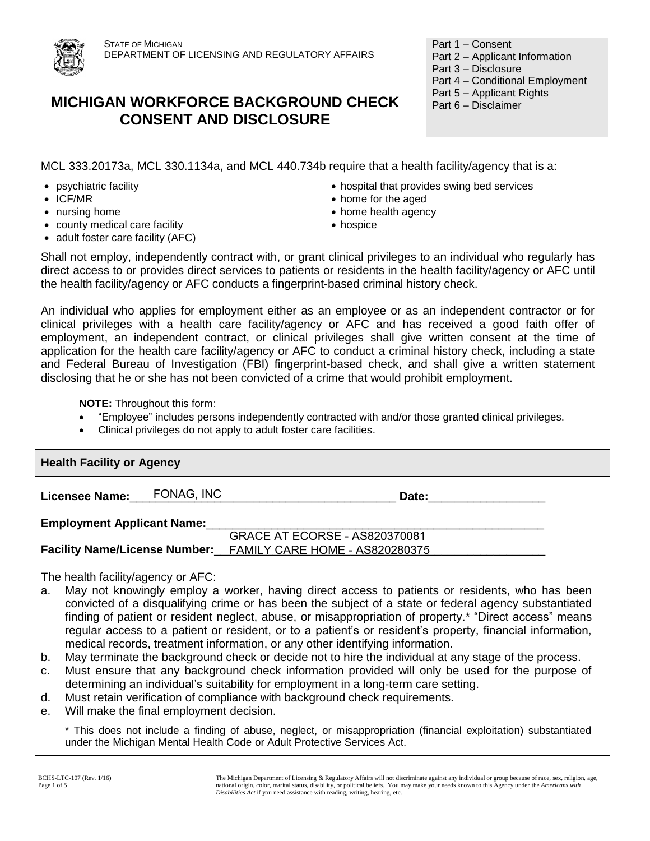

# **MICHIGAN WORKFORCE BACKGROUND CHECK CONSENT AND DISCLOSURE**

Part 1 – Consent

- Part 2 Applicant Information
- Part 3 Disclosure
- Part 4 Conditional Employment
- Part 5 Applicant Rights
- Part 6 Disclaimer

MCL 333.20173a, MCL 330.1134a, and MCL 440.734b require that a health facility/agency that is a:

- 
- 
- 
- county medical care facility
- adult foster care facility (AFC)
- psychiatric facility hospital that provides swing bed services
- ICF/MR home for the aged
- nursing home **home home** home health agency
	- hospice

Shall not employ, independently contract with, or grant clinical privileges to an individual who regularly has direct access to or provides direct services to patients or residents in the health facility/agency or AFC until the health facility/agency or AFC conducts a fingerprint-based criminal history check.

An individual who applies for employment either as an employee or as an independent contractor or for clinical privileges with a health care facility/agency or AFC and has received a good faith offer of employment, an independent contract, or clinical privileges shall give written consent at the time of application for the health care facility/agency or AFC to conduct a criminal history check, including a state and Federal Bureau of Investigation (FBI) fingerprint-based check, and shall give a written statement disclosing that he or she has not been convicted of a crime that would prohibit employment.

**NOTE:** Throughout this form:

- "Employee" includes persons independently contracted with and/or those granted clinical privileges.
- Clinical privileges do not apply to adult foster care facilities.

| <b>Health Facility or Agency</b>   |            |                                                                                                                                                                                                         |  |  |  |  |
|------------------------------------|------------|---------------------------------------------------------------------------------------------------------------------------------------------------------------------------------------------------------|--|--|--|--|
| <b>Licensee Name:</b>              | FONAG, INC | Date:                                                                                                                                                                                                   |  |  |  |  |
| <b>Employment Applicant Name:</b>  |            |                                                                                                                                                                                                         |  |  |  |  |
|                                    |            | <b>GRACE AT ECORSE - AS820370081</b>                                                                                                                                                                    |  |  |  |  |
|                                    |            | <b>Facility Name/License Number:</b> FAMILY CARE HOME - AS820280375                                                                                                                                     |  |  |  |  |
|                                    |            |                                                                                                                                                                                                         |  |  |  |  |
| The health facility/agency or AFC: |            |                                                                                                                                                                                                         |  |  |  |  |
| a.                                 |            | May not knowingly employ a worker, having direct access to patients or residents, who has been<br>convicted of a disqualifying crime or has been the subject of a state or federal agency substantiated |  |  |  |  |

- finding of patient or resident neglect, abuse, or misappropriation of property.\* "Direct access" means regular access to a patient or resident, or to a patient's or resident's property, financial information, medical records, treatment information, or any other identifying information.
- b. May terminate the background check or decide not to hire the individual at any stage of the process.
- c. Must ensure that any background check information provided will only be used for the purpose of determining an individual's suitability for employment in a long-term care setting.
- d. Must retain verification of compliance with background check requirements.
- e. Will make the final employment decision.

\* This does not include a finding of abuse, neglect, or misappropriation (financial exploitation) substantiated under the Michigan Mental Health Code or Adult Protective Services Act.

The Michigan Department of Licensing & Regulatory Affairs will not discriminate against any individual or group because of race, sex, religion, age, national origin, color, marital status, disability, or political beliefs. You may make your needs known to this Agency under the *Americans with Disabilities Act* if you need assistance with reading, writing, hearing, etc.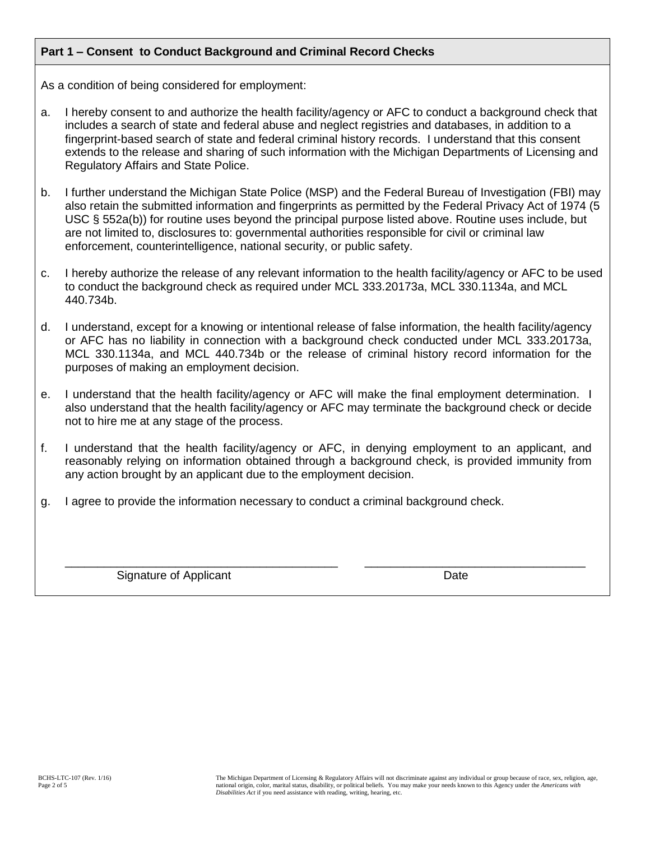### **Part 1 – Consent to Conduct Background and Criminal Record Checks**

As a condition of being considered for employment:

- a. I hereby consent to and authorize the health facility/agency or AFC to conduct a background check that includes a search of state and federal abuse and neglect registries and databases, in addition to a fingerprint-based search of state and federal criminal history records. I understand that this consent extends to the release and sharing of such information with the Michigan Departments of Licensing and Regulatory Affairs and State Police.
- b. I further understand the Michigan State Police (MSP) and the Federal Bureau of Investigation (FBI) may also retain the submitted information and fingerprints as permitted by the Federal Privacy Act of 1974 (5 USC § 552a(b)) for routine uses beyond the principal purpose listed above. Routine uses include, but are not limited to, disclosures to: governmental authorities responsible for civil or criminal law enforcement, counterintelligence, national security, or public safety.
- c. I hereby authorize the release of any relevant information to the health facility/agency or AFC to be used to conduct the background check as required under MCL 333.20173a, MCL 330.1134a, and MCL 440.734b.
- d. I understand, except for a knowing or intentional release of false information, the health facility/agency or AFC has no liability in connection with a background check conducted under MCL 333.20173a, MCL 330.1134a, and MCL 440.734b or the release of criminal history record information for the purposes of making an employment decision.
- e. I understand that the health facility/agency or AFC will make the final employment determination. I also understand that the health facility/agency or AFC may terminate the background check or decide not to hire me at any stage of the process.
- f. I understand that the health facility/agency or AFC, in denying employment to an applicant, and reasonably relying on information obtained through a background check, is provided immunity from any action brought by an applicant due to the employment decision.

\_\_\_\_\_\_\_\_\_\_\_\_\_\_\_\_\_\_\_\_\_\_\_\_\_\_\_\_\_\_\_\_\_\_\_\_\_\_\_\_\_\_ \_\_\_\_\_\_\_\_\_\_\_\_\_\_\_\_\_\_\_\_\_\_\_\_\_\_\_\_\_\_\_\_\_\_

g. I agree to provide the information necessary to conduct a criminal background check.

Signature of Applicant Date **Date**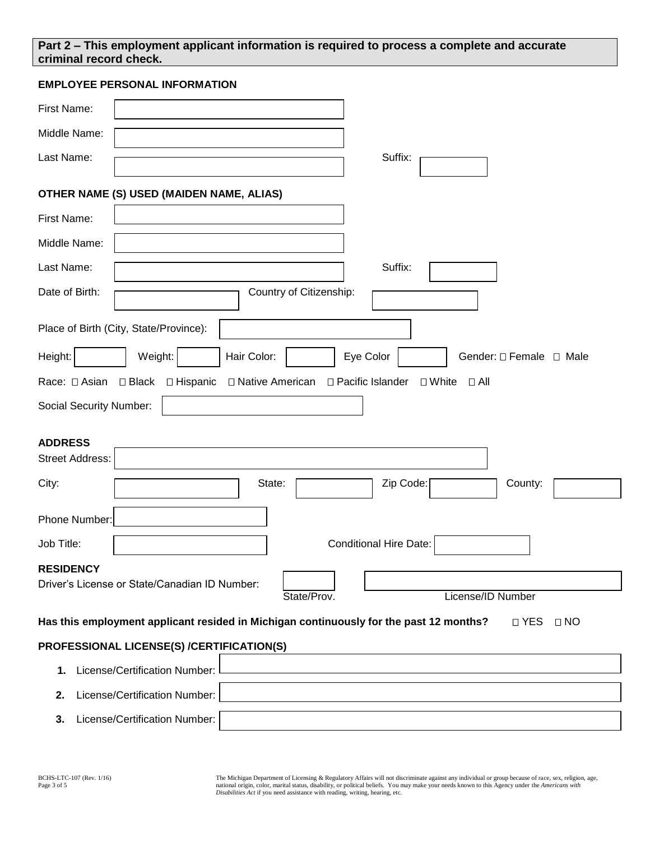### **Part 2 – This employment applicant information is required to process a complete and accurate criminal record check.**

#### **EMPLOYEE PERSONAL INFORMATION**

| First Name:                                                                                                        |  |  |  |  |  |  |
|--------------------------------------------------------------------------------------------------------------------|--|--|--|--|--|--|
| Middle Name:                                                                                                       |  |  |  |  |  |  |
| Last Name:<br>Suffix:                                                                                              |  |  |  |  |  |  |
|                                                                                                                    |  |  |  |  |  |  |
| OTHER NAME (S) USED (MAIDEN NAME, ALIAS)                                                                           |  |  |  |  |  |  |
| First Name:                                                                                                        |  |  |  |  |  |  |
| Middle Name:                                                                                                       |  |  |  |  |  |  |
| Last Name:<br>Suffix:                                                                                              |  |  |  |  |  |  |
| Date of Birth:<br>Country of Citizenship:                                                                          |  |  |  |  |  |  |
| Place of Birth (City, State/Province):                                                                             |  |  |  |  |  |  |
| Hair Color:<br>Weight:<br>Eye Color<br>Gender: $\Box$ Female $\Box$ Male<br>Height:                                |  |  |  |  |  |  |
| $\square$ Black<br>□ Hispanic<br>□ Native American<br>□ Pacific Islander<br>□ White<br>Race: □ Asian<br>$\Box$ All |  |  |  |  |  |  |
| <b>Social Security Number:</b>                                                                                     |  |  |  |  |  |  |
|                                                                                                                    |  |  |  |  |  |  |
| <b>ADDRESS</b><br><b>Street Address:</b>                                                                           |  |  |  |  |  |  |
|                                                                                                                    |  |  |  |  |  |  |
| City:<br>State:<br>Zip Code:<br>County:                                                                            |  |  |  |  |  |  |
| Phone Number:                                                                                                      |  |  |  |  |  |  |
| <b>Conditional Hire Date:</b><br>Job Title:                                                                        |  |  |  |  |  |  |
| <b>RESIDENCY</b>                                                                                                   |  |  |  |  |  |  |
| Driver's License or State/Canadian ID Number:<br>License/ID Number<br>State/Prov.                                  |  |  |  |  |  |  |
| Has this employment applicant resided in Michigan continuously for the past 12 months?                             |  |  |  |  |  |  |
| □ YES<br>$\Box$ NO                                                                                                 |  |  |  |  |  |  |
| PROFESSIONAL LICENSE(S) /CERTIFICATION(S)                                                                          |  |  |  |  |  |  |
| License/Certification Number:<br>1.                                                                                |  |  |  |  |  |  |
| License/Certification Number:<br>2.                                                                                |  |  |  |  |  |  |
| License/Certification Number:<br>3.                                                                                |  |  |  |  |  |  |

The Michigan Department of Licensing & Regulatory Affairs will not discriminate against any individual or group because of race, sex, religion, age, and the discussion and religion, age, and the about the about the about t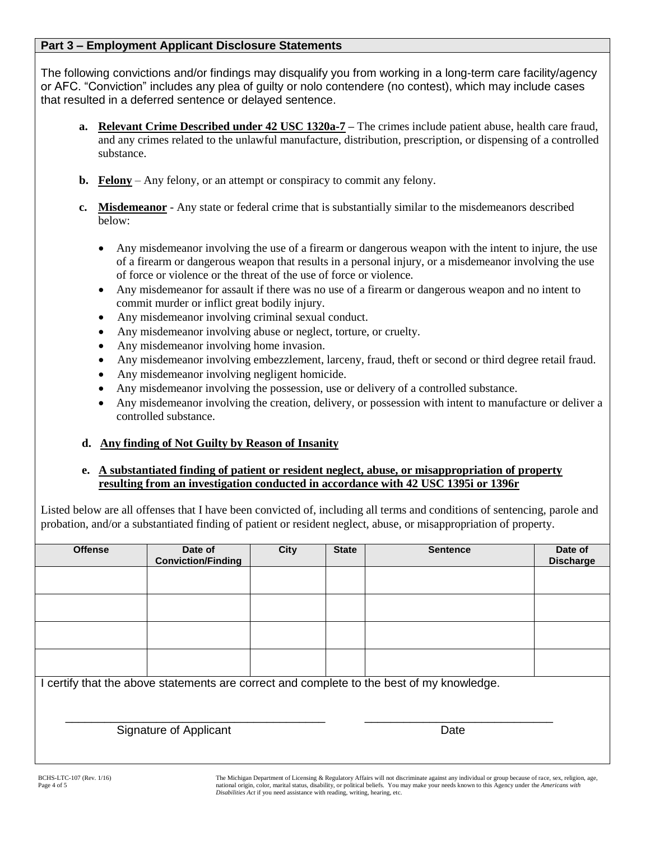### **Part 3 – Employment Applicant Disclosure Statements**

The following convictions and/or findings may disqualify you from working in a long-term care facility/agency or AFC. "Conviction" includes any plea of guilty or nolo contendere (no contest), which may include cases that resulted in a deferred sentence or delayed sentence.

- **a. Relevant Crime Described under 42 USC 1320a-7 –** The crimes include patient abuse, health care fraud, and any crimes related to the unlawful manufacture, distribution, prescription, or dispensing of a controlled substance.
- **b. Felony** Any felony, or an attempt or conspiracy to commit any felony.
- **c. Misdemeanor** Any state or federal crime that is substantially similar to the misdemeanors described below:
	- Any misdemeanor involving the use of a firearm or dangerous weapon with the intent to injure, the use of a firearm or dangerous weapon that results in a personal injury, or a misdemeanor involving the use of force or violence or the threat of the use of force or violence.
	- Any misdemeanor for assault if there was no use of a firearm or dangerous weapon and no intent to commit murder or inflict great bodily injury.
	- Any misdemeanor involving criminal sexual conduct.
	- Any misdemeanor involving abuse or neglect, torture, or cruelty.
	- Any misdemeanor involving home invasion.
	- Any misdemeanor involving embezzlement, larceny, fraud, theft or second or third degree retail fraud.
	- Any misdemeanor involving negligent homicide.
	- Any misdemeanor involving the possession, use or delivery of a controlled substance.
	- Any misdemeanor involving the creation, delivery, or possession with intent to manufacture or deliver a controlled substance.

## **d. Any finding of Not Guilty by Reason of Insanity**

### **e. A substantiated finding of patient or resident neglect, abuse, or misappropriation of property resulting from an investigation conducted in accordance with 42 USC 1395i or 1396r**

Listed below are all offenses that I have been convicted of, including all terms and conditions of sentencing, parole and probation, and/or a substantiated finding of patient or resident neglect, abuse, or misappropriation of property.

| <b>Offense</b>                                                                            | Date of                   | <b>City</b> | <b>State</b> | <b>Sentence</b> | Date of          |  |  |
|-------------------------------------------------------------------------------------------|---------------------------|-------------|--------------|-----------------|------------------|--|--|
|                                                                                           | <b>Conviction/Finding</b> |             |              |                 | <b>Discharge</b> |  |  |
|                                                                                           |                           |             |              |                 |                  |  |  |
|                                                                                           |                           |             |              |                 |                  |  |  |
|                                                                                           |                           |             |              |                 |                  |  |  |
|                                                                                           |                           |             |              |                 |                  |  |  |
|                                                                                           |                           |             |              |                 |                  |  |  |
|                                                                                           |                           |             |              |                 |                  |  |  |
|                                                                                           |                           |             |              |                 |                  |  |  |
|                                                                                           |                           |             |              |                 |                  |  |  |
|                                                                                           |                           |             |              |                 |                  |  |  |
|                                                                                           |                           |             |              |                 |                  |  |  |
|                                                                                           |                           |             |              |                 |                  |  |  |
|                                                                                           |                           |             |              |                 |                  |  |  |
| I certify that the above statements are correct and complete to the best of my knowledge. |                           |             |              |                 |                  |  |  |
|                                                                                           |                           |             |              |                 |                  |  |  |
|                                                                                           |                           |             |              |                 |                  |  |  |
|                                                                                           |                           |             |              |                 |                  |  |  |
|                                                                                           |                           |             |              | Date            |                  |  |  |
| Signature of Applicant                                                                    |                           |             |              |                 |                  |  |  |
|                                                                                           |                           |             |              |                 |                  |  |  |
|                                                                                           |                           |             |              |                 |                  |  |  |
|                                                                                           |                           |             |              |                 |                  |  |  |

The Michigan Department of Licensing & Regulatory Affairs will not discriminate against any individual or group because of race, sex, religion, age, national origin, color, marital status, disability, or political beliefs. You may make your needs known to this Agency under the *Americans with Disabilities Act* if you need assistance with reading, writing, hearing, etc.